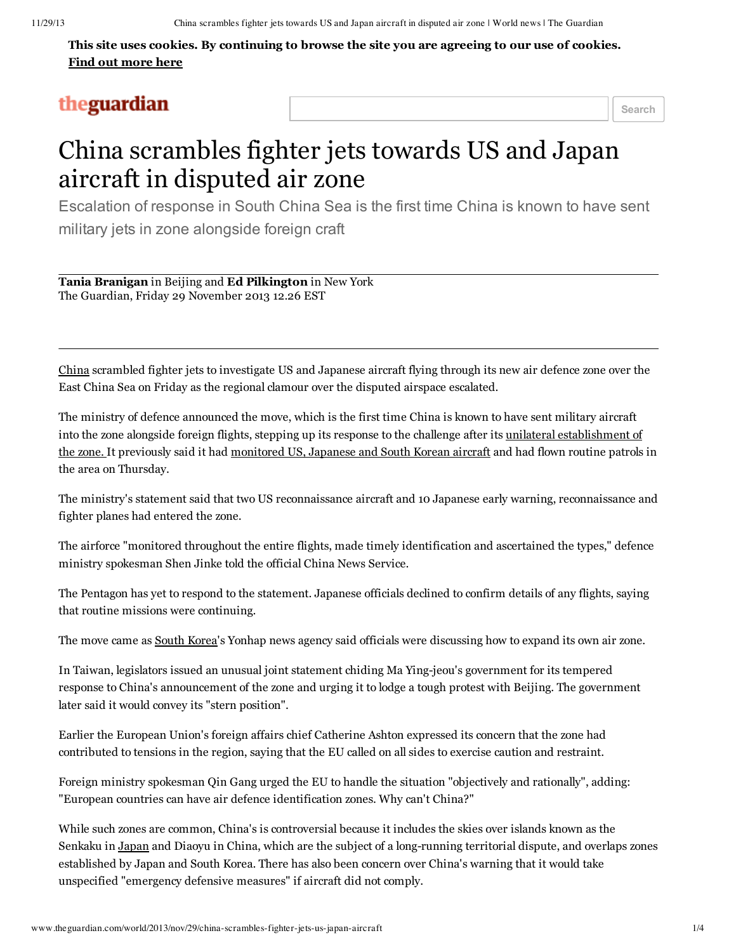**This site uses cookies. By continuing to browse the site you are agreeing to our use of cookies. Find out [more](http://www.theguardian.com/info/cookies) here**

## theguardian

**Search**

# China scrambles fighter jets towards US and Japan aircraft in disputed air zone

Escalation of response in South China Sea is the first time China is known to have sent military jets in zone alongside foreign craft

**Tania [Branigan](http://www.theguardian.com/profile/taniabranigan)** in Beijing and **Ed [Pilkington](http://www.theguardian.com/profile/edpilkington)** in New York The [Guardian](http://www.guardian.co.uk/theguardian), Friday 29 November 2013 12.26 EST

[China](http://www.theguardian.com/world/china) scrambled fighter jets to investigate US and Japanese aircraft flying through its new air defence zone over the East China Sea on Friday as the regional clamour over the disputed airspace escalated.

The ministry of defence announced the move, which is the first time China is known to have sent military aircraft into the zone alongside foreign flights, stepping up its response to the challenge after its unilateral [establishment](http://www.theguardian.com/world/2013/nov/24/us-warns-beijiing-island-dispute-senkanus) of the zone. It previously said it had [monitored](http://www.theguardian.com/world/2013/nov/27/china-air-defence-zone) US, Japanese and South Korean aircraft and had flown routine patrols in the area on Thursday.

The ministry's statement said that two US reconnaissance aircraft and 10 Japanese early warning, reconnaissance and fighter planes had entered the zone.

The airforce "monitored throughout the entire flights, made timely identification and ascertained the types," defence ministry spokesman Shen Jinke told the official China News Service.

The Pentagon has yet to respond to the statement. Japanese officials declined to confirm details of any flights, saying that routine missions were continuing.

The move came as South [Korea](http://www.theguardian.com/world/south-korea)'s Yonhap news agency said officials were discussing how to expand its own air zone.

In Taiwan, legislators issued an unusual joint statement chiding Ma Ying-jeou's government for its tempered response to China's announcement of the zone and urging it to lodge a tough protest with Beijing. The government later said it would convey its "stern position".

Earlier the European Union's foreign affairs chief Catherine Ashton expressed its concern that the zone had contributed to tensions in the region, saying that the EU called on all sides to exercise caution and restraint.

Foreign ministry spokesman Qin Gang urged the EU to handle the situation "objectively and rationally", adding: "European countries can have air defence identification zones. Why can't China?"

While such zones are common, China's is controversial because it includes the skies over islands known as the Senkaku in [Japan](http://www.theguardian.com/world/japan) and Diaoyu in China, which are the subject of a long-running territorial dispute, and overlaps zones established by Japan and South Korea. There has also been concern over China's warning that it would take unspecified "emergency defensive measures" if aircraft did not comply.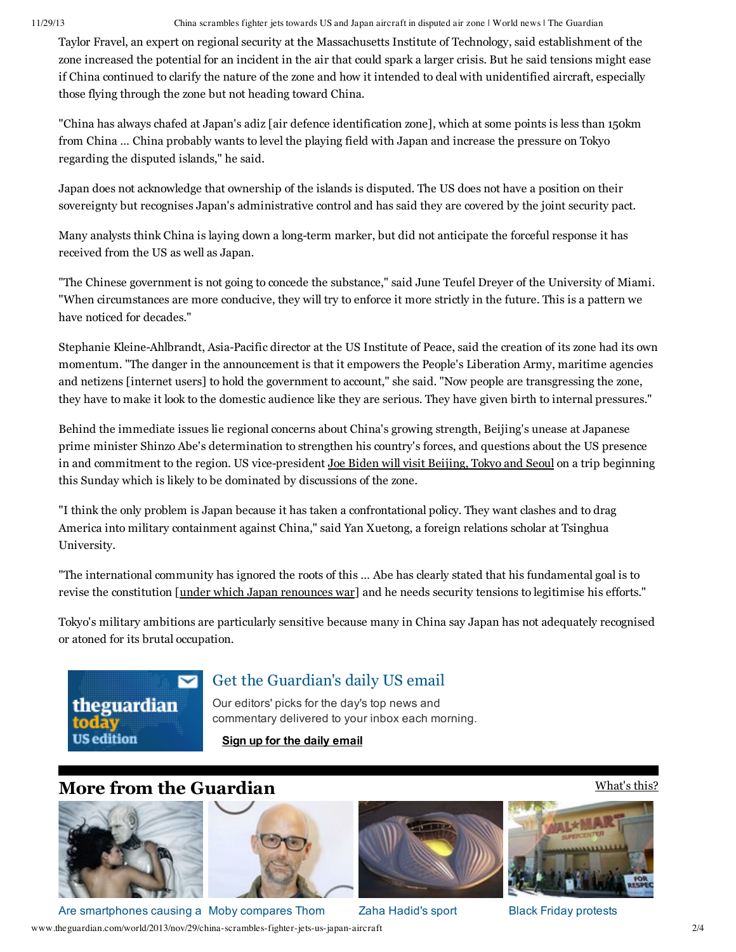#### 11/29/13 China scrambles fighter jets towards US and Japan aircraft in disputed air zone | World news | The Guardian

Taylor Fravel, an expert on regional security at the Massachusetts Institute of Technology, said establishment of the zone increased the potential for an incident in the air that could spark a larger crisis. But he said tensions might ease if China continued to clarify the nature of the zone and how it intended to deal with unidentified aircraft, especially those flying through the zone but not heading toward China.

"China has always chafed at Japan's adiz [air defence identification zone], which at some points is less than 150km from China … China probably wants to level the playing field with Japan and increase the pressure on Tokyo regarding the disputed islands," he said.

Japan does not acknowledge that ownership of the islands is disputed. The US does not have a position on their sovereignty but recognises Japan's administrative control and has said they are covered by the joint security pact.

Many analysts think China is laying down a long-term marker, but did not anticipate the forceful response it has received from the US as well as Japan.

"The Chinese government is not going to concede the substance," said June Teufel Dreyer of the University of Miami. "When circumstances are more conducive, they will try to enforce it more strictly in the future. This is a pattern we have noticed for decades."

Stephanie Kleine-Ahlbrandt, Asia-Pacific director at the US Institute of Peace, said the creation of its zone had its own momentum. "The danger in the announcement is that it empowers the People's Liberation Army, maritime agencies and netizens [internet users] to hold the government to account," she said. "Now people are transgressing the zone, they have to make it look to the domestic audience like they are serious. They have given birth to internal pressures."

Behind the immediate issues lie regional concerns about China's growing strength, Beijing's unease at Japanese prime minister Shinzo Abe's determination to strengthen his country's forces, and questions about the US presence in and commitment to the region. US vice-president Joe Biden will visit [Beijing,](http://www.theguardian.com/world/2013/nov/27/biden-beijing-china-japan-tensions) Tokyo and Seoul on a trip beginning this Sunday which is likely to be dominated by discussions of the zone.

"I think the only problem is Japan because it has taken a confrontational policy. They want clashes and to drag America into military containment against China," said Yan Xuetong, a foreign relations scholar at Tsinghua University.

"The international community has ignored the roots of this … Abe has clearly stated that his fundamental goal is to revise the constitution [under which Japan [renounces](http://www.theguardian.com/world/2013/jul/30/japan-military-capability-defence-strategy) war] and he needs security tensions to legitimise his efforts."

Tokyo's military ambitions are particularly sensitive because many in China say Japan has not adequately recognised or atoned for its brutal occupation.



#### Get the Guardian's daily US email

Our editors' picks for the day's top news and commentary delivered to your inbox each morning.

**Sign up for the daily [email](https://id.theguardian.com/email/subscribe?emailListId=1493)**

### **More from the Guardian**







Are smartphones causing a Moby compares Thom Zaha Hadid's sport Black Friday protests

What's this?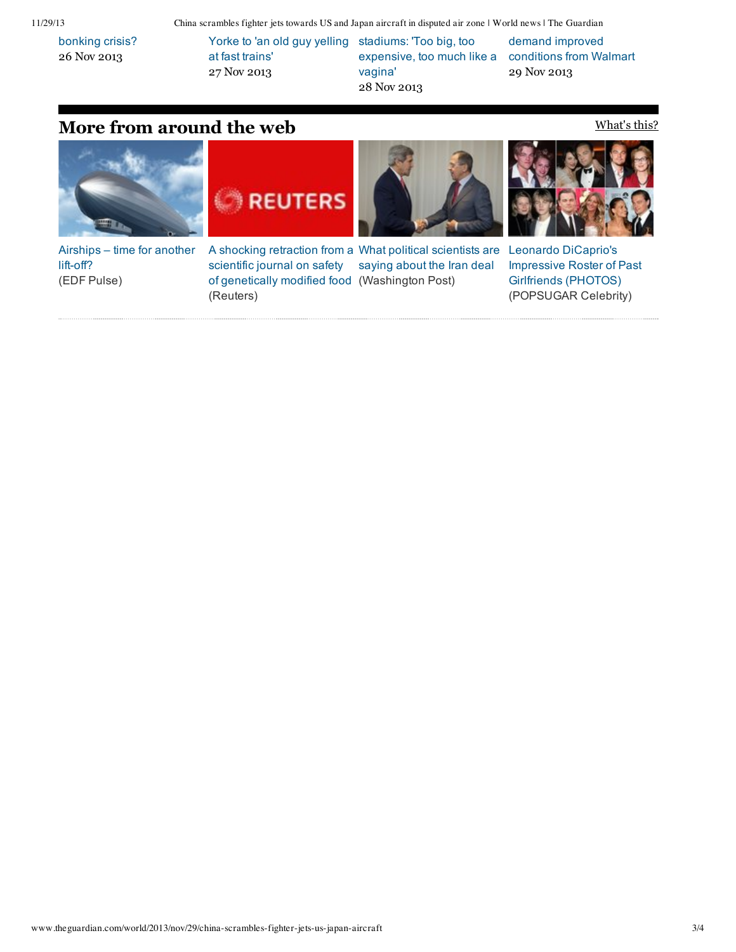11/29/13 China scrambles fighter jets towards US and Japan aircraft in disputed air zone | World news | The Guardian

bonking crisis? 26 Nov 2013

at fast trains' 27 Nov 2013

Yorke to 'an old guy yelling stadiums: 'Too big, too expensive, too much like a vagina' 28 Nov 2013

demand improved conditions from Walmart 29 Nov 2013

#### **More from around the web** *read in the web maximum what's this?*









Airships – time for another lift-off? (EDF Pulse)

A shocking retraction from a What political scientists are scientific journal on safety saying about the Iran deal of genetically modified food (Washington Post) (Reuters)

Leonardo DiCaprio's Impressive Roster of Past Girlfriends (PHOTOS) (POPSUGAR Celebrity)